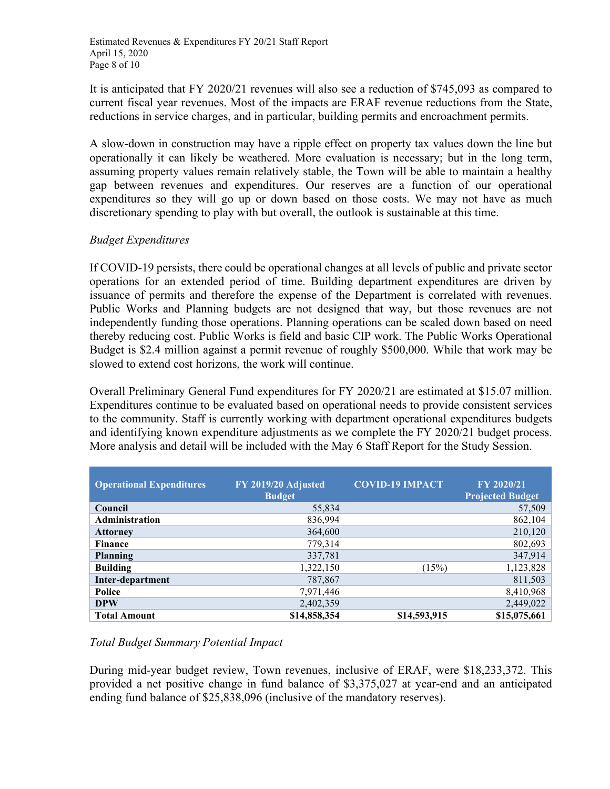It is anticipated that FY 2020/21 revenues will also see a reduction of \$745,093 as compared to current fiscal year revenues. Most of the impacts are ERAF revenue reductions from the State, reductions in service charges, and in particular, building permits and encroachment permits.

A slow-down in construction may have a ripple effect on property tax values down the line but operationally it can likely be weathered. More evaluation is necessary; but in the long term, assuming property values remain relatively stable, the Town will be able to maintain a healthy gap between revenues and expenditures. Our reserves are a function of our operational expenditures so they will go up or down based on those costs. We may not have as much discretionary spending to play with but overall, the outlook is sustainable at this time.

## *Budget Expenditures*

If COVID-19 persists, there could be operational changes at all levels of public and private sector operations for an extended period of time. Building department expenditures are driven by issuance of permits and therefore the expense of the Department is correlated with revenues. Public Works and Planning budgets are not designed that way, but those revenues are not independently funding those operations. Planning operations can be scaled down based on need thereby reducing cost. Public Works is field and basic CIP work. The Public Works Operational Budget is \$2.4 million against a permit revenue of roughly \$500,000. While that work may be slowed to extend cost horizons, the work will continue.

Overall Preliminary General Fund expenditures for FY 2020/21 are estimated at \$15.07 million. Expenditures continue to be evaluated based on operational needs to provide consistent services to the community. Staff is currently working with department operational expenditures budgets and identifying known expenditure adjustments as we complete the FY 2020/21 budget process. More analysis and detail will be included with the May 6 Staff Report for the Study Session.

| <b>Operational Expenditures</b> | FY 2019/20 Adjusted<br><b>Budget</b> | <b>COVID-19 IMPACT</b> | FY 2020/21<br><b>Projected Budget</b> |
|---------------------------------|--------------------------------------|------------------------|---------------------------------------|
| Council                         | 55,834                               |                        | 57,509                                |
| Administration                  | 836,994                              |                        | 862,104                               |
| <b>Attorney</b>                 | 364,600                              |                        | 210,120                               |
| <b>Finance</b>                  | 779,314                              |                        | 802,693                               |
| <b>Planning</b>                 | 337,781                              |                        | 347,914                               |
| <b>Building</b>                 | 1,322,150                            | (15%)                  | 1,123,828                             |
| Inter-department                | 787,867                              |                        | 811,503                               |
| Police                          | 7,971,446                            |                        | 8,410,968                             |
| <b>DPW</b>                      | 2,402,359                            |                        | 2,449,022                             |
| <b>Total Amount</b>             | \$14,858,354                         | \$14,593,915           | \$15,075,661                          |

# *Total Budget Summary Potential Impact*

During mid-year budget review, Town revenues, inclusive of ERAF, were \$18,233,372. This provided a net positive change in fund balance of \$3,375,027 at year-end and an anticipated ending fund balance of \$25,838,096 (inclusive of the mandatory reserves).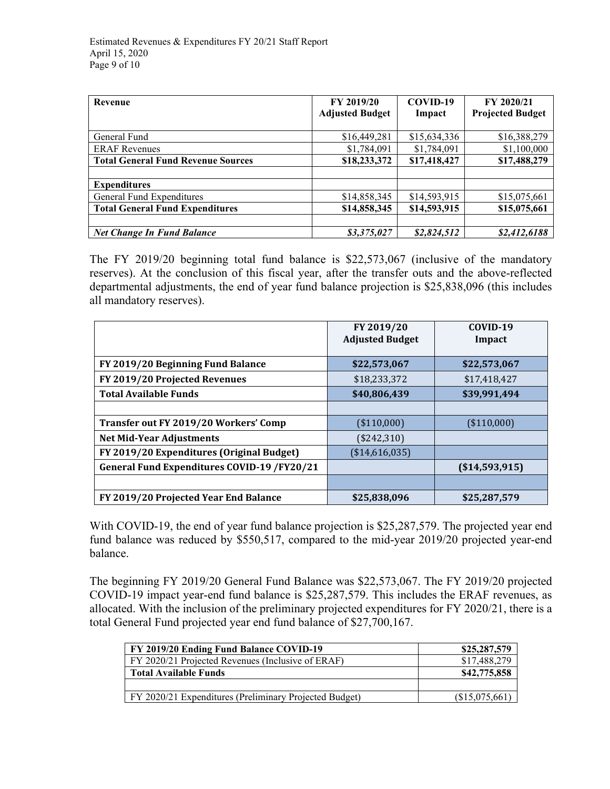| Revenue                                   | FY 2019/20<br><b>Adjusted Budget</b> | COVID-19<br>Impact | FY 2020/21<br><b>Projected Budget</b> |
|-------------------------------------------|--------------------------------------|--------------------|---------------------------------------|
|                                           |                                      |                    |                                       |
| General Fund                              | \$16,449,281                         | \$15,634,336       | \$16,388,279                          |
| <b>ERAF</b> Revenues                      | \$1,784,091                          | \$1,784,091        | \$1,100,000                           |
| <b>Total General Fund Revenue Sources</b> | \$18,233,372                         | \$17,418,427       | \$17,488,279                          |
|                                           |                                      |                    |                                       |
| <b>Expenditures</b>                       |                                      |                    |                                       |
| General Fund Expenditures                 | \$14,858,345                         | \$14,593,915       | \$15,075,661                          |
| <b>Total General Fund Expenditures</b>    | \$14,858,345                         | \$14,593,915       | \$15,075,661                          |
|                                           |                                      |                    |                                       |
| <b>Net Change In Fund Balance</b>         | \$3,375,027                          | \$2,824,512        | \$2,412,6188                          |

The FY 2019/20 beginning total fund balance is \$22,573,067 (inclusive of the mandatory reserves). At the conclusion of this fiscal year, after the transfer outs and the above-reflected departmental adjustments, the end of year fund balance projection is \$25,838,096 (this includes all mandatory reserves).

|                                                    | FY 2019/20<br><b>Adjusted Budget</b> | COVID-19<br>Impact |
|----------------------------------------------------|--------------------------------------|--------------------|
|                                                    | \$22,573,067                         | \$22,573,067       |
| FY 2019/20 Beginning Fund Balance                  |                                      |                    |
| FY 2019/20 Projected Revenues                      | \$18,233,372                         | \$17,418,427       |
| <b>Total Available Funds</b>                       | \$40,806,439                         | \$39,991,494       |
|                                                    |                                      |                    |
| Transfer out FY 2019/20 Workers' Comp              | (\$110,000)                          | (\$110,000)        |
| <b>Net Mid-Year Adjustments</b>                    | (\$242,310)                          |                    |
| FY 2019/20 Expenditures (Original Budget)          | (\$14,616,035)                       |                    |
| <b>General Fund Expenditures COVID-19 /FY20/21</b> |                                      | ( \$14,593,915)    |
|                                                    |                                      |                    |
| FY 2019/20 Projected Year End Balance              | \$25,838,096                         | \$25,287,579       |

With COVID-19, the end of year fund balance projection is \$25,287,579. The projected year end fund balance was reduced by \$550,517, compared to the mid-year 2019/20 projected year-end balance.

The beginning FY 2019/20 General Fund Balance was \$22,573,067. The FY 2019/20 projected COVID-19 impact year-end fund balance is \$25,287,579. This includes the ERAF revenues, as allocated. With the inclusion of the preliminary projected expenditures for FY 2020/21, there is a total General Fund projected year end fund balance of \$27,700,167.

| FY 2019/20 Ending Fund Balance COVID-19                | \$25,287,579   |
|--------------------------------------------------------|----------------|
| FY 2020/21 Projected Revenues (Inclusive of ERAF)      | \$17,488,279   |
| <b>Total Available Funds</b>                           | \$42,775,858   |
|                                                        |                |
| FY 2020/21 Expenditures (Preliminary Projected Budget) | (\$15,075,661) |